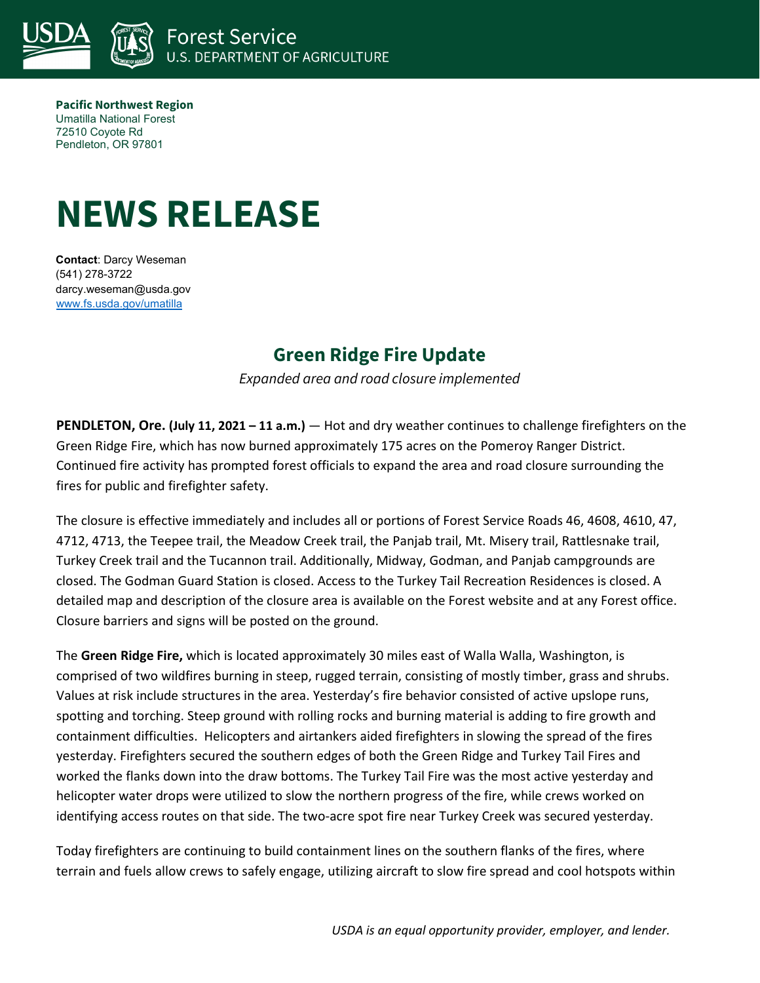

**Pacific Northwest Region** Umatilla National Forest 72510 Coyote Rd Pendleton, OR 97801

## **NEWS RELEASE**

**Contact**: Darcy Weseman (541) 278-3722 darcy.weseman@usda.gov [www.fs.usda.gov/umatilla](http://www.fs.usda.gov/umatilla)

## **Green Ridge Fire Update**

*Expanded area and road closure implemented* 

**PENDLETON, Ore. (July 11, 2021 – 11 a.m.)** — Hot and dry weather continues to challenge firefighters on the Green Ridge Fire, which has now burned approximately 175 acres on the Pomeroy Ranger District. Continued fire activity has prompted forest officials to expand the area and road closure surrounding the fires for public and firefighter safety.

The closure is effective immediately and includes all or portions of Forest Service Roads 46, 4608, 4610, 47, 4712, 4713, the Teepee trail, the Meadow Creek trail, the Panjab trail, Mt. Misery trail, Rattlesnake trail, Turkey Creek trail and the Tucannon trail. Additionally, Midway, Godman, and Panjab campgrounds are closed. The Godman Guard Station is closed. Access to the Turkey Tail Recreation Residences is closed. A detailed map and description of the closure area is available on the Forest website and at any Forest office. Closure barriers and signs will be posted on the ground.

The **Green Ridge Fire,** which is located approximately 30 miles east of Walla Walla, Washington, is comprised of two wildfires burning in steep, rugged terrain, consisting of mostly timber, grass and shrubs. Values at risk include structures in the area. Yesterday's fire behavior consisted of active upslope runs, spotting and torching. Steep ground with rolling rocks and burning material is adding to fire growth and containment difficulties. Helicopters and airtankers aided firefighters in slowing the spread of the fires yesterday. Firefighters secured the southern edges of both the Green Ridge and Turkey Tail Fires and worked the flanks down into the draw bottoms. The Turkey Tail Fire was the most active yesterday and helicopter water drops were utilized to slow the northern progress of the fire, while crews worked on identifying access routes on that side. The two-acre spot fire near Turkey Creek was secured yesterday.

Today firefighters are continuing to build containment lines on the southern flanks of the fires, where terrain and fuels allow crews to safely engage, utilizing aircraft to slow fire spread and cool hotspots within